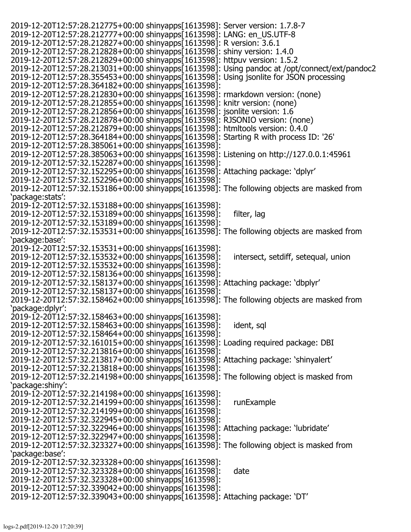| 2019-12-20T12:57:28.212775+00:00 shinyapps[1613598]: Server version: 1.7.8-7                          |                                     |
|-------------------------------------------------------------------------------------------------------|-------------------------------------|
| 2019-12-20T12:57:28.212777+00:00 shinyapps[1613598]: LANG: en_US.UTF-8                                |                                     |
| 2019-12-20T12:57:28.212827+00:00 shinyapps[1613598]: R version: 3.6.1                                 |                                     |
| 2019-12-20T12:57:28.212828+00:00 shinyapps[1613598]: shiny version: 1.4.0                             |                                     |
| 2019-12-20T12:57:28.212829+00:00 shinyapps[1613598]: httpuv version: 1.5.2                            |                                     |
| 2019-12-20T12:57:28.213031+00:00 shinyapps[1613598]: Using pandoc at /opt/connect/ext/pandoc2         |                                     |
| 2019-12-20T12:57:28.355453+00:00 shinyapps[1613598]: Using jsonlite for JSON processing               |                                     |
| 2019-12-20T12:57:28.364182+00:00 shinyapps[1613598]:                                                  |                                     |
| 2019-12-20T12:57:28.212830+00:00 shinyapps[1613598]: rmarkdown version: (none)                        |                                     |
| 2019-12-20T12:57:28.212855+00:00 shinyapps[1613598]: knitr version: (none)                            |                                     |
|                                                                                                       |                                     |
| 2019-12-20T12:57:28.212856+00:00 shinyapps[1613598]: jsonlite version: 1.6                            |                                     |
| 2019-12-20T12:57:28.212878+00:00 shinyapps[1613598]: RJSONIO version: (none)                          |                                     |
| 2019-12-20T12:57:28.212879+00:00 shinyapps[1613598]: htmltools version: 0.4.0                         |                                     |
| 2019-12-20T12:57:28.364184+00:00 shinyapps[1613598]: Starting R with process ID: '26'                 |                                     |
| 2019-12-20T12:57:28.385061+00:00 shinyapps[1613598]:                                                  |                                     |
| 2019-12-20T12:57:28.385063+00:00 shinyapps[1613598]: Listening on http://127.0.0.1:45961              |                                     |
| 2019-12-20T12:57:32.152287+00:00 shinyapps[1613598]:                                                  |                                     |
| 2019-12-20T12:57:32.152295+00:00 shinyapps[1613598]: Attaching package: 'dplyr'                       |                                     |
| 2019-12-20T12:57:32.152296+00:00 shinyapps[1613598]:                                                  |                                     |
| 2019-12-20T12:57:32.153186+00:00 shinyapps 1613598]: The following objects are masked from            |                                     |
| 'package:stats':                                                                                      |                                     |
| 2019-12-20T12:57:32.153188+00:00 shinyapps[1613598]:                                                  |                                     |
|                                                                                                       |                                     |
| 2019-12-20T12:57:32.153189+00:00 shinyapps[1613598]:                                                  | filter, lag                         |
| 2019-12-20T12:57:32.153189+00:00 shinyapps[1613598]:                                                  |                                     |
| 2019-12-20T12:57:32.153531+00:00 shinyapps[1613598]: The following objects are masked from            |                                     |
| 'package:base':                                                                                       |                                     |
| 2019-12-20T12:57:32.153531+00:00 shinyapps[1613598]:                                                  |                                     |
| 2019-12-20T12:57:32.153532+00:00 shinyapps[1613598]:                                                  | intersect, setdiff, setequal, union |
| 2019-12-20T12:57:32.153532+00:00 shinyapps[1613598]:                                                  |                                     |
| 2019-12-20T12:57:32.158136+00:00 shinyapps[1613598]:                                                  |                                     |
| 2019-12-20T12:57:32.158137+00:00 shinyapps[1613598]: Attaching package: 'dbplyr'                      |                                     |
| 2019-12-20T12:57:32.158137+00:00 shinyapps[1613598]:                                                  |                                     |
| $2019 - 12 - 20$ T12:57:32.158462+00:00 shinyapps $[1613598]$ : The following objects are masked from |                                     |
| 'package:dplyr':                                                                                      |                                     |
|                                                                                                       |                                     |
| 2019-12-20T12:57:32.158463+00:00 shinyapps[1613598]:                                                  |                                     |
| 2019-12-20T12:57:32.158463+00:00 shinyapps[1613598]:                                                  | ident, sql                          |
| 2019-12-20T12:57:32.158464+00:00 shinyapps[1613598]:                                                  |                                     |
| 2019-12-20T12:57:32.161015+00:00 shinyapps[1613598]: Loading required package: DBI                    |                                     |
| 2019-12-20T12:57:32.213816+00:00 shinyapps[1613598]:                                                  |                                     |
| 2019-12-20T12:57:32.213817+00:00 shinyapps[1613598]: Attaching package: 'shinyalert'                  |                                     |
| 2019-12-20T12:57:32.213818+00:00 shinyapps[1613598]:                                                  |                                     |
| 2019-12-20T12:57:32.214198+00:00 shinyapps <sup>[1613598]</sup> : The following object is masked from |                                     |
| 'package:shiny':                                                                                      |                                     |
| 2019-12-20T12:57:32.214198+00:00 shinyapps[1613598]:                                                  |                                     |
|                                                                                                       | runExample                          |
| 2019-12-20T12:57:32.214199+00:00 shinyapps[1613598]:                                                  |                                     |
| 2019-12-20T12:57:32.214199+00:00 shinyapps[1613598]:                                                  |                                     |
| 2019-12-20T12:57:32.322945+00:00 shinyapps[1613598]:                                                  |                                     |
| 2019-12-20T12:57:32.322946+00:00 shinyapps[1613598]: Attaching package: 'lubridate'                   |                                     |
| 2019-12-20T12:57:32.322947+00:00 shinyapps[1613598]:                                                  |                                     |
| 2019-12-20T12:57:32.323327+00:00 shinyapps[1613598]: The following object is masked from              |                                     |
| 'package:base':                                                                                       |                                     |
| 2019-12-20T12:57:32.323328+00:00 shinyapps[1613598]:                                                  |                                     |
| 2019-12-20T12:57:32.323328+00:00 shinyapps[1613598]:                                                  | date                                |
| 2019-12-20T12:57:32.323328+00:00 shinyapps[1613598]:                                                  |                                     |
| 2019-12-20T12:57:32.339042+00:00 shinyapps[1613598]:                                                  |                                     |
|                                                                                                       |                                     |
| 2019-12-20T12:57:32.339043+00:00 shinyapps[1613598]: Attaching package: 'DT'                          |                                     |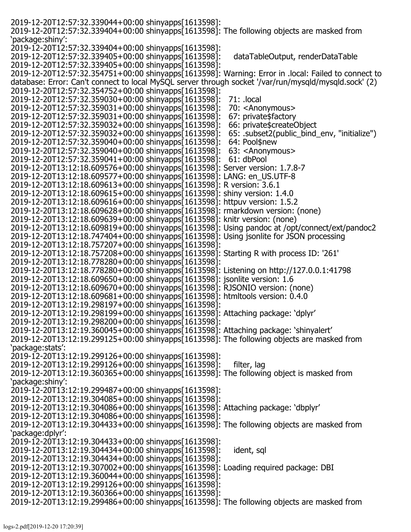| 2019-12-20T12:57:32.339044+00:00 shinyapps[1613598]:                                                  |                                             |
|-------------------------------------------------------------------------------------------------------|---------------------------------------------|
| 2019-12-20T12:57:32.339404+00:00 shinyapps[1613598]: The following objects are masked from            |                                             |
| 'package:shiny':                                                                                      |                                             |
| 2019-12-20T12:57:32.339404+00:00 shinyapps[1613598]:                                                  |                                             |
| 2019-12-20T12:57:32.339405+00:00 shinyapps[1613598]:                                                  |                                             |
|                                                                                                       | dataTableOutput, renderDataTable            |
| 2019-12-20T12:57:32.339405+00:00 shinyapps[1613598]:                                                  |                                             |
| 2019-12-20T12:57:32.354751+00:00 shinyapps[1613598]: Warning: Error in .local: Failed to connect to   |                                             |
| database: Error: Can't connect to local MySQL server through socket '/var/run/mysqld/mysqld.sock' (2) |                                             |
| 2019-12-20T12:57:32.354752+00:00 shinyapps[1613598]:                                                  |                                             |
| 2019-12-20T12:57:32.359030+00:00 shinyapps[1613598]:                                                  | 71: .local                                  |
| 2019-12-20T12:57:32.359031+00:00 shinyapps[1613598]:                                                  | 70: <anonymous></anonymous>                 |
|                                                                                                       |                                             |
| 2019-12-20T12:57:32.359031+00:00 shinyapps[1613598]:                                                  | 67: private\$factory                        |
| 2019-12-20T12:57:32.359032+00:00 shinyapps[1613598]:                                                  | 66: private\$createObject                   |
| 2019-12-20T12:57:32.359032+00:00 shinyapps[1613598]:                                                  | 65: .subset2(public_bind_env, "initialize") |
| 2019-12-20T12:57:32.359040+00:00 shinyapps[1613598]:                                                  | 64: Pool\$new                               |
| 2019-12-20T12:57:32.359040+00:00 shinyapps[1613598]:                                                  | 63: <anonymous></anonymous>                 |
| 2019-12-20T12:57:32.359041+00:00 shinyapps[1613598]:                                                  | 61: dbPool                                  |
| 2019-12-20T13:12:18.609576+00:00 shinyapps[1613598]: Server version: 1.7.8-7                          |                                             |
| 2019-12-20T13:12:18.609577+00:00 shinyapps[1613598]: LANG: en_US.UTF-8                                |                                             |
|                                                                                                       |                                             |
| 2019-12-20T13:12:18.609613+00:00 shinyapps[1613598]: R version: 3.6.1                                 |                                             |
| 2019-12-20T13:12:18.609615+00:00 shinyapps[1613598]: shiny version: 1.4.0                             |                                             |
| 2019-12-20T13:12:18.609616+00:00 shinyapps[1613598]: httpuv version: 1.5.2                            |                                             |
| 2019-12-20T13:12:18.609628+00:00 shinyapps[1613598]: rmarkdown version: (none)                        |                                             |
| 2019-12-20T13:12:18.609639+00:00 shinyapps[1613598]: knitr version: (none)                            |                                             |
| 2019-12-20T13:12:18.609819+00:00 shinyapps[1613598]: Using pandoc at /opt/connect/ext/pandoc2         |                                             |
| 2019-12-20T13:12:18.747404+00:00 shinyapps[1613598]: Using jsonlite for JSON processing               |                                             |
|                                                                                                       |                                             |
| 2019-12-20T13:12:18.757207+00:00 shinyapps[1613598]:                                                  |                                             |
| 2019-12-20T13:12:18.757208+00:00 shinyapps[1613598]: Starting R with process ID: '261'                |                                             |
| 2019-12-20T13:12:18.778280+00:00 shinyapps[1613598]:                                                  |                                             |
| 2019-12-20T13:12:18.778280+00:00 shinyapps[1613598]: Listening on http://127.0.0.1:41798              |                                             |
| 2019-12-20T13:12:18.609650+00:00 shinyapps[1613598]: jsonlite version: 1.6                            |                                             |
| 2019-12-20T13:12:18.609670+00:00 shinyapps[1613598]: RJSONIO version: (none)                          |                                             |
| 2019-12-20T13:12:18.609681+00:00 shinyapps[1613598]: htmltools version: 0.4.0                         |                                             |
| 2019-12-20T13:12:19.298197+00:00 shinyapps[1613598]:                                                  |                                             |
|                                                                                                       |                                             |
| 2019-12-20T13:12:19.298199+00:00 shinyapps[1613598]: Attaching package: 'dplyr'                       |                                             |
| 2019-12-20T13:12:19.298200+00:00 shinyapps[1613598]:                                                  |                                             |
| 2019-12-20T13:12:19.360045+00:00 shinyapps[1613598]: Attaching package: 'shinyalert'                  |                                             |
| 2019-12-20T13:12:19.299125+00:00 shinyapps[1613598]: The following objects are masked from            |                                             |
| 'package:stats':                                                                                      |                                             |
| 2019-12-20T13:12:19.299126+00:00 shinyapps[1613598]:                                                  |                                             |
| 2019-12-20T13:12:19.299126+00:00 shinyapps[1613598]:                                                  | filter, lag                                 |
| 2019-12-20T13:12:19.360365+00:00 shinyapps[1613598]: The following object is masked from              |                                             |
| 'package:shiny':                                                                                      |                                             |
|                                                                                                       |                                             |
| 2019-12-20T13:12:19.299487+00:00 shinyapps[1613598]:                                                  |                                             |
| 2019-12-20T13:12:19.304085+00:00 shinyapps[1613598]:                                                  |                                             |
| 2019-12-20T13:12:19.304086+00:00 shinyapps[1613598]: Attaching package: 'dbplyr'                      |                                             |
| 2019-12-20T13:12:19.304086+00:00 shinyapps[1613598]:                                                  |                                             |
| 2019-12-20T13:12:19.304433+00:00 shinyapps[1613598]: The following objects are masked from            |                                             |
| 'package:dplyr':                                                                                      |                                             |
| 2019-12-20T13:12:19.304433+00:00 shinyapps[1613598]:                                                  |                                             |
| 2019-12-20T13:12:19.304434+00:00 shinyapps[1613598]:                                                  | ident, sql                                  |
|                                                                                                       |                                             |
| 2019-12-20T13:12:19.304434+00:00 shinyapps[1613598]:                                                  |                                             |
| 2019-12-20T13:12:19.307002+00:00 shinyapps[1613598]: Loading required package: DBI                    |                                             |
| 2019-12-20T13:12:19.360044+00:00 shinyapps[1613598]:                                                  |                                             |
| 2019-12-20T13:12:19.299126+00:00 shinyapps[1613598]:                                                  |                                             |
| 2019-12-20T13:12:19.360366+00:00 shinyapps[1613598]:                                                  |                                             |
| 2019-12-20T13:12:19.299486+00:00 shinyapps[1613598]: The following objects are masked from            |                                             |
|                                                                                                       |                                             |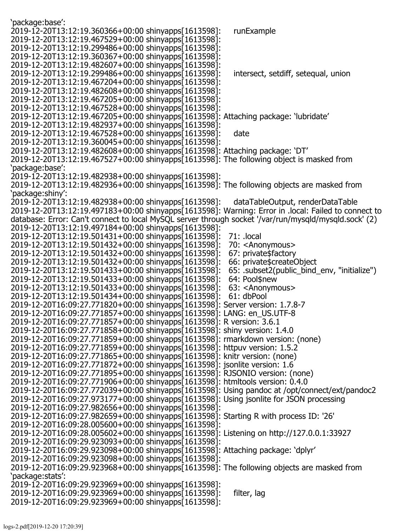| 'package:base':                                                                                       |                                             |
|-------------------------------------------------------------------------------------------------------|---------------------------------------------|
| 2019-12-20T13:12:19.360366+00:00 shinyapps[1613598]:                                                  | runExample                                  |
| 2019-12-20T13:12:19.467529+00:00 shinyapps[1613598]:                                                  |                                             |
| 2019-12-20T13:12:19.299486+00:00 shinyapps[1613598]:                                                  |                                             |
| 2019-12-20T13:12:19.360367+00:00 shinyapps[1613598]:                                                  |                                             |
|                                                                                                       |                                             |
| 2019-12-20T13:12:19.482607+00:00 shinyapps[1613598]:                                                  |                                             |
| 2019-12-20T13:12:19.299486+00:00 shinyapps[1613598]:                                                  | intersect, setdiff, setequal, union         |
| 2019-12-20T13:12:19.467204+00:00 shinyapps[1613598]:                                                  |                                             |
| 2019-12-20T13:12:19.482608+00:00 shinyapps[1613598]:                                                  |                                             |
| 2019-12-20T13:12:19.467205+00:00 shinyapps[1613598]:                                                  |                                             |
| 2019-12-20T13:12:19.467528+00:00 shinyapps[1613598]:                                                  |                                             |
| 2019-12-20T13:12:19.467205+00:00 shinyapps[1613598]: Attaching package: 'lubridate'                   |                                             |
| 2019-12-20T13:12:19.482937+00:00 shinyapps[1613598]:                                                  |                                             |
| 2019-12-20T13:12:19.467528+00:00 shinyapps[1613598]:                                                  | date                                        |
| 2019-12-20T13:12:19.360045+00:00 shinyapps[1613598]:                                                  |                                             |
| 2019-12-20T13:12:19.482608+00:00 shinyapps[1613598]: Attaching package: 'DT'                          |                                             |
| 2019-12-20T13:12:19.467527+00:00 shinyapps[1613598]: The following object is masked from              |                                             |
| 'package:base':                                                                                       |                                             |
| 2019-12-20T13:12:19.482938+00:00 shinyapps[1613598]:                                                  |                                             |
| 2019-12-20T13:12:19.482936+00:00 shinyapps[1613598]: The following objects are masked from            |                                             |
| 'package:shiny':                                                                                      |                                             |
| 2019-12-20T13:12:19.482938+00:00 shinyapps[1613598]:                                                  | dataTableOutput, renderDataTable            |
| 2019-12-20T13:12:19.497183+00:00 shinyapps[1613598]: Warning: Error in .local: Failed to connect to   |                                             |
| database: Error: Can't connect to local MySQL server through socket '/var/run/mysqld/mysqld.sock' (2) |                                             |
| 2019-12-20T13:12:19.497184+00:00 shinyapps[1613598]:                                                  |                                             |
| 2019-12-20T13:12:19.501431+00:00 shinyapps[1613598]:                                                  | 71: .local                                  |
| 2019-12-20T13:12:19.501432+00:00 shinyapps[1613598]:                                                  | 70: <anonymous></anonymous>                 |
| 2019-12-20T13:12:19.501432+00:00 shinyapps[1613598]:                                                  | 67: private\$factory                        |
| 2019-12-20T13:12:19.501432+00:00 shinyapps[1613598]:                                                  | 66: private \$create Object                 |
| 2019-12-20T13:12:19.501433+00:00 shinyapps[1613598]:                                                  | 65: .subset2(public_bind_env, "initialize") |
| 2019-12-20T13:12:19.501433+00:00 shinyapps[1613598]:                                                  | 64: Pool\$new                               |
| 2019-12-20T13:12:19.501433+00:00 shinyapps[1613598]:                                                  | 63: <anonymous></anonymous>                 |
| 2019-12-20T13:12:19.501434+00:00 shinyapps[1613598]:                                                  | 61: dbPool                                  |
| 2019-12-20T16:09:27.771820+00:00 shinyapps[1613598]: Server version: 1.7.8-7                          |                                             |
| 2019-12-20T16:09:27.771857+00:00 shinyapps[1613598]: LANG: en_US.UTF-8                                |                                             |
| 2019-12-20T16:09:27.771857+00:00 shinyapps[1613598]: R version: 3.6.1                                 |                                             |
|                                                                                                       |                                             |
| 2019-12-20T16:09:27.771858+00:00 shinyapps[1613598]: shiny version: 1.4.0                             |                                             |
| 2019-12-20T16:09:27.771859+00:00 shinyapps[1613598]: rmarkdown version: (none)                        |                                             |
| 2019-12-20T16:09:27.771859+00:00 shinyapps[1613598]: httpuv version: 1.5.2                            |                                             |
| 2019-12-20T16:09:27.771865+00:00 shinyapps[1613598]: knitr version: (none)                            |                                             |
| 2019-12-20T16:09:27.771872+00:00 shinyapps[1613598]: jsonlite version: 1.6                            |                                             |
| 2019-12-20T16:09:27.771895+00:00 shinyapps[1613598]: RJSONIO version: (none)                          |                                             |
| 2019-12-20T16:09:27.771906+00:00 shinyapps[1613598]: htmltools version: 0.4.0                         |                                             |
| 2019-12-20T16:09:27.772039+00:00 shinyapps[1613598]: Using pandoc at /opt/connect/ext/pandoc2         |                                             |
| 2019-12-20T16:09:27.973177+00:00 shinyapps[1613598]: Using jsonlite for JSON processing               |                                             |
| 2019-12-20T16:09:27.982656+00:00 shinyapps[1613598]:                                                  |                                             |
| 2019-12-20T16:09:27.982659+00:00 shinyapps[1613598]: Starting R with process ID: '26'                 |                                             |
| 2019-12-20T16:09:28.005600+00:00 shinyapps[1613598]:                                                  |                                             |
| 2019-12-20T16:09:28.005602+00:00 shinyapps[1613598]: Listening on http://127.0.0.1:33927              |                                             |
| 2019-12-20T16:09:29.923093+00:00 shinyapps[1613598]:                                                  |                                             |
| 2019-12-20T16:09:29.923098+00:00 shinyapps[1613598]: Attaching package: 'dplyr'                       |                                             |
| 2019-12-20T16:09:29.923098+00:00 shinyapps[1613598]:                                                  |                                             |
| 2019-12-20T16:09:29.923968+00:00 shinyapps[1613598]: The following objects are masked from            |                                             |
| 'package:stats':                                                                                      |                                             |
| 2019-12-20T16:09:29.923969+00:00 shinyapps[1613598]:                                                  |                                             |
| 2019-12-20T16:09:29.923969+00:00 shinyapps[1613598]:                                                  | filter, lag                                 |
| 2019-12-20T16:09:29.923969+00:00 shinyapps[1613598]:                                                  |                                             |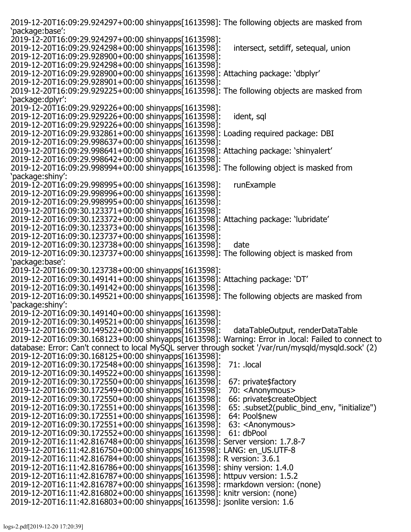2019-12-20T16:09:29.924297+00:00 shinyapps[1613598]: The following objects are masked from 'package:base': 2019-12-20T16:09:29.924297+00:00 shinyapps[1613598]: 2019-12-20T16:09:29.924298+00:00 shinyapps[1613598]: intersect, setdiff, setequal, union 2019-12-20T16:09:29.928900+00:00 shinyapps[1613598]: 2019-12-20T16:09:29.924298+00:00 shinyapps[1613598]: 2019-12-20T16:09:29.928900+00:00 shinyapps[1613598]: Attaching package: 'dbplyr' 2019-12-20T16:09:29.928901+00:00 shinyapps[1613598]: 2019-12-20T16:09:29.929225+00:00 shinyapps[1613598]: The following objects are masked from 'package:dplyr': 2019-12-20T16:09:29.929226+00:00 shinyapps[1613598]: 2019-12-20T16:09:29.929226+00:00 shinyapps[1613598]: ident, sql 2019-12-20T16:09:29.929226+00:00 shinyapps[1613598]: 2019-12-20T16:09:29.932861+00:00 shinyapps[1613598]: Loading required package: DBI 2019-12-20T16:09:29.998637+00:00 shinyapps[1613598]: 2019-12-20T16:09:29.998641+00:00 shinyapps[1613598]: Attaching package: 'shinyalert' 2019-12-20T16:09:29.998642+00:00 shinyapps[1613598]: 2019-12-20T16:09:29.998994+00:00 shinyapps[1613598]: The following object is masked from 'package:shiny': 2019-12-20T16:09:29.998995+00:00 shinyapps[1613598]: runExample 2019-12-20T16:09:29.998996+00:00 shinyapps[1613598]: 2019-12-20T16:09:29.998995+00:00 shinyapps[1613598]: 2019-12-20T16:09:30.123371+00:00 shinyapps[1613598]: 2019-12-20T16:09:30.123372+00:00 shinyapps[1613598]: Attaching package: 'lubridate' 2019-12-20T16:09:30.123373+00:00 shinyapps[1613598]: 2019-12-20T16:09:30.123737+00:00 shinyapps[1613598]: 2019-12-20T16:09:30.123738+00:00 shinyapps[1613598]: date 2019-12-20T16:09:30.123737+00:00 shinyapps[1613598]: The following object is masked from 'package:base': 2019-12-20T16:09:30.123738+00:00 shinyapps[1613598]: 2019-12-20T16:09:30.149141+00:00 shinyapps[1613598]: Attaching package: 'DT' 2019-12-20T16:09:30.149142+00:00 shinyapps[1613598]: 2019-12-20T16:09:30.149521+00:00 shinyapps[1613598]: The following objects are masked from 'package:shiny': 2019-12-20T16:09:30.149140+00:00 shinyapps[1613598]: 2019-12-20T16:09:30.149521+00:00 shinyapps[1613598]: 2019-12-20T16:09:30.149522+00:00 shinyapps[1613598]: dataTableOutput, renderDataTable 2019-12-20T16:09:30.168123+00:00 shinyapps[1613598]: Warning: Error in .local: Failed to connect to database: Error: Can't connect to local MySQL server through socket '/var/run/mysqld/mysqld.sock' (2) 2019-12-20T16:09:30.168125+00:00 shinyapps[1613598]: 2019-12-20T16:09:30.172548+00:00 shinyapps[1613598]: 71: .local 2019-12-20T16:09:30.149522+00:00 shinyapps[1613598]: 2019-12-20T16:09:30.172550+00:00 shinyapps[1613598]: 67: private\$factory 2019-12-20T16:09:30.172549+00:00 shinyapps[1613598]: 70: <Anonymous><br>2019-12-20T16:09:30.172550+00:00 shinyapps[1613598]: 66: private\$createObject 2019-12-20T16:09:30.172550+00:00 shinyapps[1613598]: 66: private\$createObject<br>2019-12-20T16:09:30.172551+00:00 shinyapps[1613598]: 65: .subset2(public\_bind\_env, "initialize") 2019-12-20T16:09:30.172551+00:00 shinyapps[1613598]: 65: .subset2(p<br>2019-12-20T16:09:30.172551+00:00 shinyapps[1613598]: 64: Pool\$new 2019-12-20T16:09:30.172551+00:00 shinyapps[1613598]: 64: Pool\$new 2019-12-20T16:09:30.172551+00:00 shinyapps[1613598]: 2019-12-20T16:09:30.172552+00:00 shinyapps[1613598]: 61: dbPool 2019-12-20T16:11:42.816748+00:00 shinyapps[1613598]: Server version: 1.7.8-7 2019-12-20T16:11:42.816750+00:00 shinyapps[1613598]: LANG: en\_US.UTF-8 2019-12-20T16:11:42.816784+00:00 shinyapps[1613598]: R version: 3.6.1 2019-12-20T16:11:42.816786+00:00 shinyapps[1613598]: shiny version: 1.4.0 2019-12-20T16:11:42.816787+00:00 shinyapps[1613598]: httpuv version: 1.5.2 2019-12-20T16:11:42.816787+00:00 shinyapps[1613598]: rmarkdown version: (none) 2019-12-20T16:11:42.816802+00:00 shinyapps[1613598]: knitr version: (none) 2019-12-20T16:11:42.816803+00:00 shinyapps[1613598]: jsonlite version: 1.6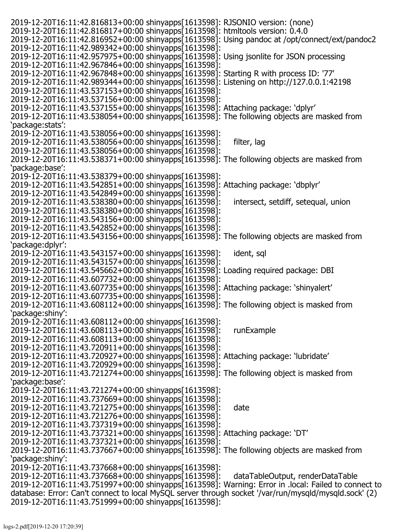2019-12-20T16:11:42.816813+00:00 shinyapps[1613598]: RJSONIO version: (none) 2019-12-20T16:11:42.816817+00:00 shinyapps[1613598]: htmltools version: 0.4.0 2019-12-20T16:11:42.816952+00:00 shinyapps[1613598]: Using pandoc at /opt/connect/ext/pandoc2 2019-12-20T16:11:42.989342+00:00 shinyapps[1613598]: 2019-12-20T16:11:42.957975+00:00 shinyapps[1613598]: Using jsonlite for JSON processing 2019-12-20T16:11:42.967846+00:00 shinyapps[1613598]: 2019-12-20T16:11:42.967848+00:00 shinyapps[1613598]: Starting R with process ID: '77' 2019-12-20T16:11:42.989344+00:00 shinyapps[1613598]: Listening on http://127.0.0.1:42198 2019-12-20T16:11:43.537153+00:00 shinyapps[1613598]: 2019-12-20T16:11:43.537156+00:00 shinyapps[1613598]: 2019-12-20T16:11:43.537155+00:00 shinyapps[1613598]: Attaching package: 'dplyr' 2019-12-20T16:11:43.538054+00:00 shinyapps[1613598]: The following objects are masked from 'package:stats': 2019-12-20T16:11:43.538056+00:00 shinyapps[1613598]: 2019-12-20T16:11:43.538056+00:00 shinyapps[1613598]: filter, lag 2019-12-20T16:11:43.538056+00:00 shinyapps[1613598]: 2019-12-20T16:11:43.538371+00:00 shinyapps[1613598]: The following objects are masked from 'package:base': 2019-12-20T16:11:43.538379+00:00 shinyapps[1613598]: 2019-12-20T16:11:43.542851+00:00 shinyapps[1613598]: Attaching package: 'dbplyr' 2019-12-20T16:11:43.542849+00:00 shinyapps[1613598]: 2019-12-20T16:11:43.538380+00:00 shinyapps[1613598]: intersect, setdiff, setequal, union 2019-12-20T16:11:43.538380+00:00 shinyapps[1613598]: 2019-12-20T16:11:43.543156+00:00 shinyapps[1613598]: 2019-12-20T16:11:43.542852+00:00 shinyapps[1613598]: 2019-12-20T16:11:43.543156+00:00 shinyapps[1613598]: The following objects are masked from 'package:dplyr': 2019-12-20T16:11:43.543157+00:00 shinyapps[1613598]: ident, sql 2019-12-20T16:11:43.543157+00:00 shinyapps[1613598]: 2019-12-20T16:11:43.545662+00:00 shinyapps[1613598]: Loading required package: DBI 2019-12-20T16:11:43.607732+00:00 shinyapps[1613598]: 2019-12-20T16:11:43.607735+00:00 shinyapps[1613598]: Attaching package: 'shinyalert' 2019-12-20T16:11:43.607735+00:00 shinyapps[1613598]: 2019-12-20T16:11:43.608112+00:00 shinyapps[1613598]: The following object is masked from 'package:shiny': 2019-12-20T16:11:43.608112+00:00 shinyapps[1613598]: 2019-12-20T16:11:43.608113+00:00 shinyapps[1613598]: runExample 2019-12-20T16:11:43.608113+00:00 shinyapps[1613598]: 2019-12-20T16:11:43.720911+00:00 shinyapps[1613598]: 2019-12-20T16:11:43.720927+00:00 shinyapps[1613598]: Attaching package: 'lubridate' 2019-12-20T16:11:43.720929+00:00 shinyapps[1613598]: 2019-12-20T16:11:43.721274+00:00 shinyapps[1613598]: The following object is masked from 'package:base': 2019-12-20T16:11:43.721274+00:00 shinyapps[1613598]: 2019-12-20T16:11:43.737669+00:00 shinyapps[1613598]: 2019-12-20T16:11:43.721275+00:00 shinyapps[1613598]: date 2019-12-20T16:11:43.721276+00:00 shinyapps[1613598]: 2019-12-20T16:11:43.737319+00:00 shinyapps[1613598]: 2019-12-20T16:11:43.737321+00:00 shinyapps[1613598]: Attaching package: 'DT' 2019-12-20T16:11:43.737321+00:00 shinyapps[1613598]: 2019-12-20T16:11:43.737667+00:00 shinyapps[1613598]: The following objects are masked from 'package:shiny': 2019-12-20T16:11:43.737668+00:00 shinyapps[1613598]: 2019-12-20T16:11:43.737668+00:00 shinyapps[1613598]: dataTableOutput, renderDataTable 2019-12-20T16:11:43.751997+00:00 shinyapps[1613598]: Warning: Error in .local: Failed to connect to database: Error: Can't connect to local MySQL server through socket '/var/run/mysqld/mysqld.sock' (2) 2019-12-20T16:11:43.751999+00:00 shinyapps[1613598]: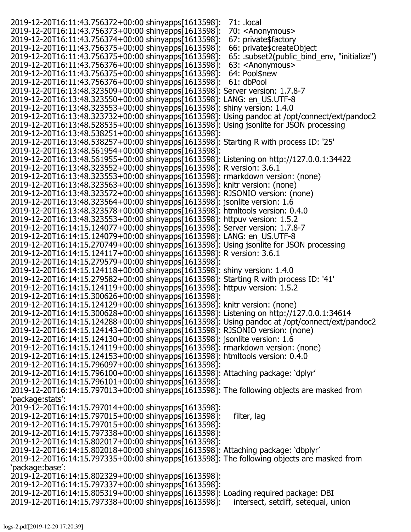2019-12-20T16:11:43.756372+00:00 shinyapps[1613598]: 71: .local 2019-12-20T16:11:43.756373+00:00 shinyapps[1613598]: 70: <Anonymous> 2019-12-20T16:11:43.756374+00:00 shinyapps[1613598]: 67: private\$factory<br>2019-12-20T16:11:43.756375+00:00 shinyapps[1613598]: 66: private\$createObject 2019-12-20T16:11:43.756375+00:00 shinyapps[1613598]: 66: private\$createObject<br>2019-12-20T16:11:43.756375+00:00 shinyapps[1613598]: 65: .subset2(public bind env, "initialize") 2019-12-20T16:11:43.756375+00:00 shinyapps[1613598]: 2019-12-20T16:11:43.756376+00:00 shinyapps[1613598]: 63: <Anonymous> 2019-12-20T16:11:43.756375+00:00 shinyapps[1613598]: 64: Pool\$new 2019-12-20T16:11:43.756376+00:00 shinyapps[1613598]: 61: dbPool 2019-12-20T16:13:48.323509+00:00 shinyapps[1613598]: Server version: 1.7.8-7 2019-12-20T16:13:48.323550+00:00 shinyapps[1613598]: LANG: en\_US.UTF-8 2019-12-20T16:13:48.323553+00:00 shinyapps[1613598]: shiny version: 1.4.0 2019-12-20T16:13:48.323732+00:00 shinyapps[1613598]: Using pandoc at /opt/connect/ext/pandoc2 2019-12-20T16:13:48.528535+00:00 shinyapps[1613598]: Using jsonlite for JSON processing 2019-12-20T16:13:48.538251+00:00 shinyapps[1613598]: 2019-12-20T16:13:48.538257+00:00 shinyapps[1613598]: Starting R with process ID: '25' 2019-12-20T16:13:48.561954+00:00 shinyapps[1613598]: 2019-12-20T16:13:48.561955+00:00 shinyapps[1613598]: Listening on http://127.0.0.1:34422 2019-12-20T16:13:48.323552+00:00 shinyapps[1613598]: R version: 3.6.1 2019-12-20T16:13:48.323553+00:00 shinyapps[1613598]: rmarkdown version: (none) 2019-12-20T16:13:48.323563+00:00 shinyapps[1613598]: knitr version: (none) 2019-12-20T16:13:48.323572+00:00 shinyapps[1613598]: RJSONIO version: (none) 2019-12-20T16:13:48.323564+00:00 shinyapps[1613598]: jsonlite version: 1.6 2019-12-20T16:13:48.323578+00:00 shinyapps[1613598]: htmltools version: 0.4.0 2019-12-20T16:13:48.323553+00:00 shinyapps[1613598]: httpuv version: 1.5.2 2019-12-20T16:14:15.124077+00:00 shinyapps[1613598]: Server version: 1.7.8-7 2019-12-20T16:14:15.124079+00:00 shinyapps[1613598]: LANG: en\_US.UTF-8 2019-12-20T16:14:15.270749+00:00 shinyapps[1613598]: Using jsonlite for JSON processing 2019-12-20T16:14:15.124117+00:00 shinyapps[1613598]: R version: 3.6.1 2019-12-20T16:14:15.279579+00:00 shinyapps[1613598]: 2019-12-20T16:14:15.124118+00:00 shinyapps[1613598]: shiny version: 1.4.0 2019-12-20T16:14:15.279582+00:00 shinyapps[1613598]: Starting R with process ID: '41' 2019-12-20T16:14:15.124119+00:00 shinyapps[1613598]: httpuv version: 1.5.2 2019-12-20T16:14:15.300626+00:00 shinyapps[1613598]: 2019-12-20T16:14:15.124129+00:00 shinyapps[1613598]: knitr version: (none) 2019-12-20T16:14:15.300628+00:00 shinyapps[1613598]: Listening on http://127.0.0.1:34614 2019-12-20T16:14:15.124288+00:00 shinyapps[1613598]: Using pandoc at /opt/connect/ext/pandoc2 2019-12-20T16:14:15.124143+00:00 shinyapps[1613598]: RJSONIO version: (none) 2019-12-20T16:14:15.124130+00:00 shinyapps[1613598]: jsonlite version: 1.6 2019-12-20T16:14:15.124119+00:00 shinyapps[1613598]: rmarkdown version: (none) 2019-12-20T16:14:15.124153+00:00 shinyapps[1613598]: htmltools version: 0.4.0 2019-12-20T16:14:15.796097+00:00 shinyapps[1613598]: 2019-12-20T16:14:15.796100+00:00 shinyapps[1613598]: Attaching package: 'dplyr' 2019-12-20T16:14:15.796101+00:00 shinyapps[1613598]: 2019-12-20T16:14:15.797013+00:00 shinyapps[1613598]: The following objects are masked from 'package:stats': 2019-12-20T16:14:15.797014+00:00 shinyapps[1613598]: 2019-12-20T16:14:15.797015+00:00 shinyapps[1613598]: filter, lag 2019-12-20T16:14:15.797015+00:00 shinyapps[1613598]: 2019-12-20T16:14:15.797338+00:00 shinyapps[1613598]: 2019-12-20T16:14:15.802017+00:00 shinyapps[1613598]: 2019-12-20T16:14:15.802018+00:00 shinyapps[1613598]: Attaching package: 'dbplyr' 2019-12-20T16:14:15.797335+00:00 shinyapps[1613598]: The following objects are masked from 'package:base': 2019-12-20T16:14:15.802329+00:00 shinyapps[1613598]: 2019-12-20T16:14:15.797337+00:00 shinyapps[1613598]: 2019-12-20T16:14:15.805319+00:00 shinyapps[1613598]: Loading required package: DBI<br>2019-12-20T16:14:15.797338+00:00 shinyapps[1613598]: intersect, setdiff, setequal, union 2019-12-20T16:14:15.797338+00:00 shinyapps[1613598]: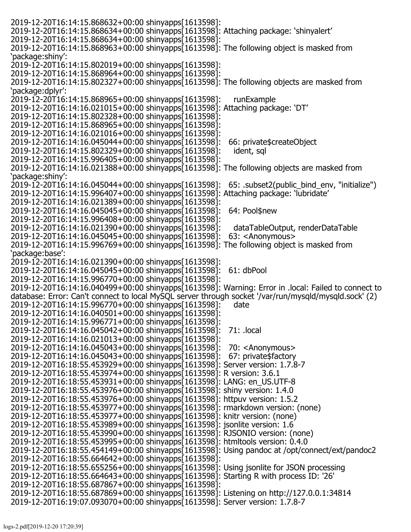2019-12-20T16:14:15.868632+00:00 shinyapps[1613598]: 2019-12-20T16:14:15.868634+00:00 shinyapps[1613598]: Attaching package: 'shinyalert' 2019-12-20T16:14:15.868634+00:00 shinyapps[1613598]: 2019-12-20T16:14:15.868963+00:00 shinyapps[1613598]: The following object is masked from 'package:shiny': 2019-12-20T16:14:15.802019+00:00 shinyapps[1613598]: 2019-12-20T16:14:15.868964+00:00 shinyapps[1613598]: 2019-12-20T16:14:15.802327+00:00 shinyapps[1613598]: The following objects are masked from 'package:dplyr': 2019-12-20T16:14:15.868965+00:00 shinyapps[1613598]: runExample 2019-12-20T16:14:16.021015+00:00 shinyapps[1613598]: Attaching package: 'DT' 2019-12-20T16:14:15.802328+00:00 shinyapps[1613598]: 2019-12-20T16:14:15.868965+00:00 shinyapps[1613598]: 2019-12-20T16:14:16.021016+00:00 shinyapps[1613598]: 2019-12-20T16:14:16.045044+00:00 shinyapps[1613598]: 66: private\$createObject 2019-12-20T16:14:15.802329+00:00 shinyapps[1613598]: 2019-12-20T16:14:15.996405+00:00 shinyapps[1613598]: 2019-12-20T16:14:16.021388+00:00 shinyapps[1613598]: The following objects are masked from 'package:shiny': 2019-12-20T16:14:16.045044+00:00 shinyapps[1613598]: 65: .subset2(public\_bind\_env, "initialize") 2019-12-20T16:14:15.996407+00:00 shinyapps[1613598]: Attaching package: 'lubridate' 2019-12-20T16:14:16.021389+00:00 shinyapps[1613598]: 2019-12-20T16:14:16.045045+00:00 shinyapps[1613598]: 64: Pool\$new 2019-12-20T16:14:15.996408+00:00 shinyapps[1613598]: 2019-12-20T16:14:16.021390+00:00 shinyapps[1613598]: dataTableOutput, renderDataTable<br>2019-12-20T16:14:16.045045+00:00 shinyapps[1613598]: 63: <Anonymous> 2019-12-20T16:14:16.045045+00:00 shinyapps[1613598]: 63: <Anonymous> 2019-12-20T16:14:15.996769+00:00 shinyapps[1613598]: The following object is masked from 'package:base': 2019-12-20T16:14:16.021390+00:00 shinyapps[1613598]: 2019-12-20T16:14:16.045045+00:00 shinyapps[1613598]: 61: dbPool 2019-12-20T16:14:15.996770+00:00 shinyapps[1613598]: 2019-12-20T16:14:16.040499+00:00 shinyapps[1613598]: Warning: Error in .local: Failed to connect to database: Error: Can't connect to local MySQL server through socket '/var/run/mysqld/mysqld.sock' (2) 2019-12-20T16:14:15.996770+00:00 shinyapps[1613598]: date 2019-12-20T16:14:16.040501+00:00 shinyapps[1613598]: 2019-12-20T16:14:15.996771+00:00 shinyapps[1613598]: 2019-12-20T16:14:16.045042+00:00 shinyapps[1613598]: 71: .local 2019-12-20T16:14:16.021013+00:00 shinyapps[1613598]: 2019-12-20T16:14:16.045043+00:00 shinyapps[1613598]: 70: <Anonymous> 2019-12-20T16:14:16.045043+00:00 shinyapps[1613598]: 2019-12-20T16:18:55.453929+00:00 shinyapps[1613598]: Server version: 1.7.8-7 2019-12-20T16:18:55.453974+00:00 shinyapps[1613598]: R version: 3.6.1 2019-12-20T16:18:55.453931+00:00 shinyapps[1613598]: LANG: en\_US.UTF-8 2019-12-20T16:18:55.453976+00:00 shinyapps[1613598]: shiny version: 1.4.0 2019-12-20T16:18:55.453976+00:00 shinyapps[1613598]: httpuv version: 1.5.2 2019-12-20T16:18:55.453977+00:00 shinyapps[1613598]: rmarkdown version: (none) 2019-12-20T16:18:55.453977+00:00 shinyapps[1613598]: knitr version: (none) 2019-12-20T16:18:55.453989+00:00 shinyapps[1613598]: jsonlite version: 1.6 2019-12-20T16:18:55.453990+00:00 shinyapps[1613598]: RJSONIO version: (none) 2019-12-20T16:18:55.453995+00:00 shinyapps[1613598]: htmltools version: 0.4.0 2019-12-20T16:18:55.454149+00:00 shinyapps[1613598]: Using pandoc at /opt/connect/ext/pandoc2 2019-12-20T16:18:55.664642+00:00 shinyapps[1613598]: 2019-12-20T16:18:55.655256+00:00 shinyapps[1613598]: Using jsonlite for JSON processing 2019-12-20T16:18:55.664643+00:00 shinyapps[1613598]: Starting R with process ID: '26' 2019-12-20T16:18:55.687867+00:00 shinyapps[1613598]: 2019-12-20T16:18:55.687869+00:00 shinyapps[1613598]: Listening on http://127.0.0.1:34814 2019-12-20T16:19:07.093070+00:00 shinyapps[1613598]: Server version: 1.7.8-7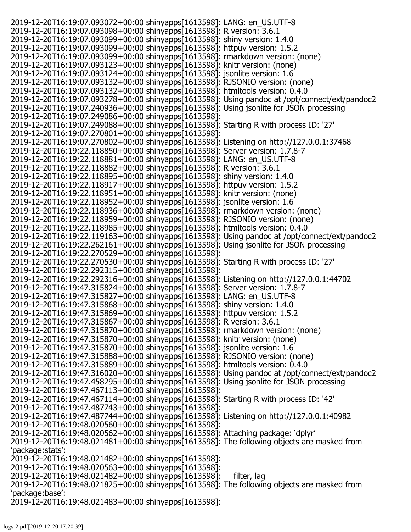2019-12-20T16:19:07.093072+00:00 shinyapps[1613598]: LANG: en\_US.UTF-8 2019-12-20T16:19:07.093098+00:00 shinyapps[1613598]: R version: 3.6.1 2019-12-20T16:19:07.093099+00:00 shinyapps[1613598]: shiny version: 1.4.0 2019-12-20T16:19:07.093099+00:00 shinyapps[1613598]: httpuv version: 1.5.2 2019-12-20T16:19:07.093099+00:00 shinyapps[1613598]: rmarkdown version: (none) 2019-12-20T16:19:07.093123+00:00 shinyapps[1613598]: knitr version: (none) 2019-12-20T16:19:07.093124+00:00 shinyapps[1613598]: jsonlite version: 1.6 2019-12-20T16:19:07.093132+00:00 shinyapps[1613598]: RJSONIO version: (none) 2019-12-20T16:19:07.093132+00:00 shinyapps[1613598]: htmltools version: 0.4.0 2019-12-20T16:19:07.093278+00:00 shinyapps[1613598]: Using pandoc at /opt/connect/ext/pandoc2 2019-12-20T16:19:07.240936+00:00 shinyapps[1613598]: Using jsonlite for JSON processing 2019-12-20T16:19:07.249086+00:00 shinyapps[1613598]: 2019-12-20T16:19:07.249088+00:00 shinyapps[1613598]: Starting R with process ID: '27' 2019-12-20T16:19:07.270801+00:00 shinyapps[1613598]: 2019-12-20T16:19:07.270802+00:00 shinyapps[1613598]: Listening on http://127.0.0.1:37468 2019-12-20T16:19:22.118850+00:00 shinyapps[1613598]: Server version: 1.7.8-7 2019-12-20T16:19:22.118881+00:00 shinyapps[1613598]: LANG: en\_US.UTF-8 2019-12-20T16:19:22.118882+00:00 shinyapps[1613598]: R version: 3.6.1 2019-12-20T16:19:22.118895+00:00 shinyapps[1613598]: shiny version: 1.4.0 2019-12-20T16:19:22.118917+00:00 shinyapps[1613598]: httpuv version: 1.5.2 2019-12-20T16:19:22.118951+00:00 shinyapps[1613598]: knitr version: (none) 2019-12-20T16:19:22.118952+00:00 shinyapps[1613598]: jsonlite version: 1.6 2019-12-20T16:19:22.118936+00:00 shinyapps[1613598]: rmarkdown version: (none) 2019-12-20T16:19:22.118959+00:00 shinyapps[1613598]: RJSONIO version: (none) 2019-12-20T16:19:22.118985+00:00 shinyapps[1613598]: htmltools version: 0.4.0 2019-12-20T16:19:22.119163+00:00 shinyapps[1613598]: Using pandoc at /opt/connect/ext/pandoc2 2019-12-20T16:19:22.262161+00:00 shinyapps[1613598]: Using jsonlite for JSON processing 2019-12-20T16:19:22.270529+00:00 shinyapps[1613598]: 2019-12-20T16:19:22.270530+00:00 shinyapps[1613598]: Starting R with process ID: '27' 2019-12-20T16:19:22.292315+00:00 shinyapps[1613598]: 2019-12-20T16:19:22.292316+00:00 shinyapps[1613598]: Listening on http://127.0.0.1:44702 2019-12-20T16:19:47.315824+00:00 shinyapps[1613598]: Server version: 1.7.8-7 2019-12-20T16:19:47.315827+00:00 shinyapps[1613598]: LANG: en\_US.UTF-8 2019-12-20T16:19:47.315868+00:00 shinyapps[1613598]: shiny version: 1.4.0 2019-12-20T16:19:47.315869+00:00 shinyapps[1613598]: httpuv version: 1.5.2 2019-12-20T16:19:47.315867+00:00 shinyapps[1613598]: R version: 3.6.1 2019-12-20T16:19:47.315870+00:00 shinyapps[1613598]: rmarkdown version: (none) 2019-12-20T16:19:47.315870+00:00 shinyapps[1613598]: knitr version: (none) 2019-12-20T16:19:47.315870+00:00 shinyapps[1613598]: jsonlite version: 1.6 2019-12-20T16:19:47.315888+00:00 shinyapps[1613598]: RJSONIO version: (none) 2019-12-20T16:19:47.315889+00:00 shinyapps[1613598]: htmltools version: 0.4.0 2019-12-20T16:19:47.316020+00:00 shinyapps[1613598]: Using pandoc at /opt/connect/ext/pandoc2 2019-12-20T16:19:47.458295+00:00 shinyapps[1613598]: Using jsonlite for JSON processing 2019-12-20T16:19:47.467113+00:00 shinyapps[1613598]: 2019-12-20T16:19:47.467114+00:00 shinyapps[1613598]: Starting R with process ID: '42' 2019-12-20T16:19:47.487743+00:00 shinyapps[1613598]: 2019-12-20T16:19:47.487744+00:00 shinyapps[1613598]: Listening on http://127.0.0.1:40982 2019-12-20T16:19:48.020560+00:00 shinyapps[1613598]: 2019-12-20T16:19:48.020562+00:00 shinyapps[1613598]: Attaching package: 'dplyr' 2019-12-20T16:19:48.021481+00:00 shinyapps[1613598]: The following objects are masked from 'package:stats': 2019-12-20T16:19:48.021482+00:00 shinyapps[1613598]: 2019-12-20T16:19:48.020563+00:00 shinyapps[1613598]: 2019-12-20T16:19:48.021482+00:00 shinyapps[1613598]: filter, lag 2019-12-20T16:19:48.021825+00:00 shinyapps[1613598]: The following objects are masked from 'package:base': 2019-12-20T16:19:48.021483+00:00 shinyapps[1613598]: